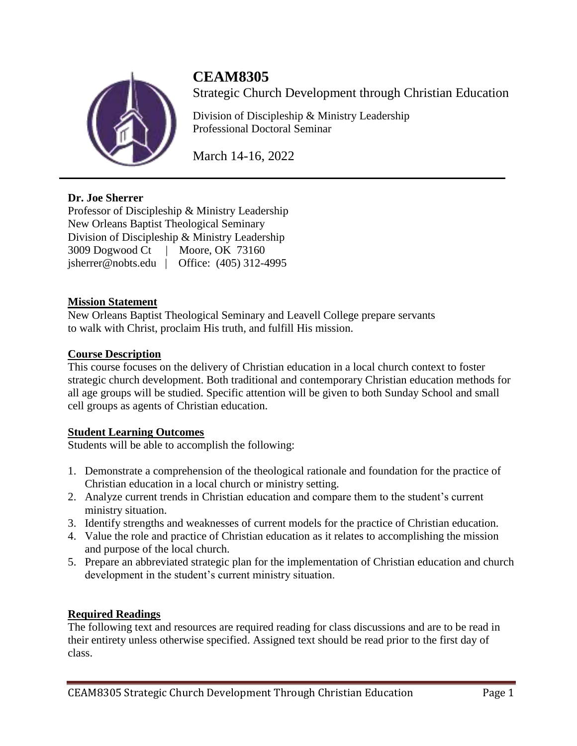

# **CEAM8305**

Strategic Church Development through Christian Education

Division of Discipleship & Ministry Leadership Professional Doctoral Seminar

March 14-16, 2022

# **Dr. Joe Sherrer**

Professor of Discipleship & Ministry Leadership New Orleans Baptist Theological Seminary Division of Discipleship & Ministry Leadership 3009 Dogwood Ct | Moore, OK 73160 jsherrer@nobts.edu | Office: (405) 312-4995

# **Mission Statement**

New Orleans Baptist Theological Seminary and Leavell College prepare servants to walk with Christ, proclaim His truth, and fulfill His mission.

# **Course Description**

This course focuses on the delivery of Christian education in a local church context to foster strategic church development. Both traditional and contemporary Christian education methods for all age groups will be studied. Specific attention will be given to both Sunday School and small cell groups as agents of Christian education.

# **Student Learning Outcomes**

Students will be able to accomplish the following:

- 1. Demonstrate a comprehension of the theological rationale and foundation for the practice of Christian education in a local church or ministry setting.
- 2. Analyze current trends in Christian education and compare them to the student's current ministry situation.
- 3. Identify strengths and weaknesses of current models for the practice of Christian education.
- 4. Value the role and practice of Christian education as it relates to accomplishing the mission and purpose of the local church.
- 5. Prepare an abbreviated strategic plan for the implementation of Christian education and church development in the student's current ministry situation.

# **Required Readings**

The following text and resources are required reading for class discussions and are to be read in their entirety unless otherwise specified. Assigned text should be read prior to the first day of class.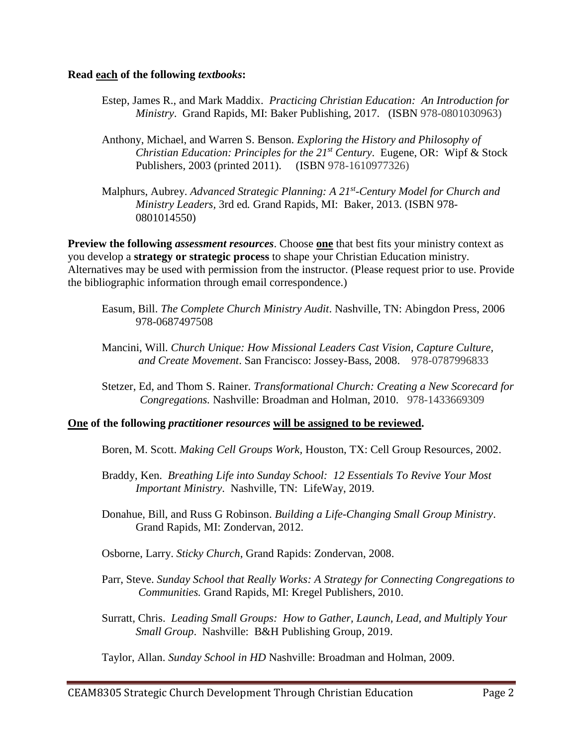#### **Read each of the following** *textbooks***:**

- Estep, James R., and Mark Maddix. *Practicing Christian Education: An Introduction for Ministry*. Grand Rapids, MI: Baker Publishing, 2017. (ISBN 978-0801030963)
- Anthony, Michael, and Warren S. Benson. *Exploring the History and Philosophy of Christian Education: Principles for the 21st Century*. Eugene, OR: Wipf & Stock Publishers, 2003 (printed 2011). (ISBN 978-1610977326)
- Malphurs, Aubrey. *Advanced Strategic Planning: A 21st -Century Model for Church and Ministry Leaders,* 3rd ed*.* Grand Rapids, MI: Baker, 2013. (ISBN 978- 0801014550)

**Preview the following** *assessment resources*. Choose **one** that best fits your ministry context as you develop a **strategy or strategic process** to shape your Christian Education ministry. Alternatives may be used with permission from the instructor. (Please request prior to use. Provide the bibliographic information through email correspondence.)

- Easum, Bill. *The Complete Church Ministry Audit*. Nashville, TN: Abingdon Press, 2006 978-0687497508
- Mancini, Will. *Church Unique: How Missional Leaders Cast Vision, Capture Culture, and Create Movement*. San Francisco: Jossey-Bass, 2008. 978-0787996833
- Stetzer, Ed, and Thom S. Rainer. *Transformational Church: Creating a New Scorecard for Congregations.* Nashville: Broadman and Holman, 2010. 978-1433669309

#### **One of the following** *practitioner resources* **will be assigned to be reviewed.**

- Boren, M. Scott. *Making Cell Groups Work,* Houston, TX: Cell Group Resources, 2002.
- Braddy, Ken. *Breathing Life into Sunday School: 12 Essentials To Revive Your Most Important Ministry*. Nashville, TN: LifeWay, 2019.
- Donahue, Bill, and Russ G Robinson. *Building a Life-Changing Small Group Ministry*. Grand Rapids, MI: Zondervan, 2012.
- Osborne, Larry. *Sticky Church*, Grand Rapids: Zondervan, 2008.
- Parr, Steve. *Sunday School that Really Works: A Strategy for Connecting Congregations to Communities.* Grand Rapids, MI: Kregel Publishers, 2010.
- Surratt, Chris. *Leading Small Groups: How to Gather, Launch, Lead, and Multiply Your Small Group*. Nashville: B&H Publishing Group, 2019.

Taylor, Allan. *Sunday School in HD* Nashville: Broadman and Holman, 2009.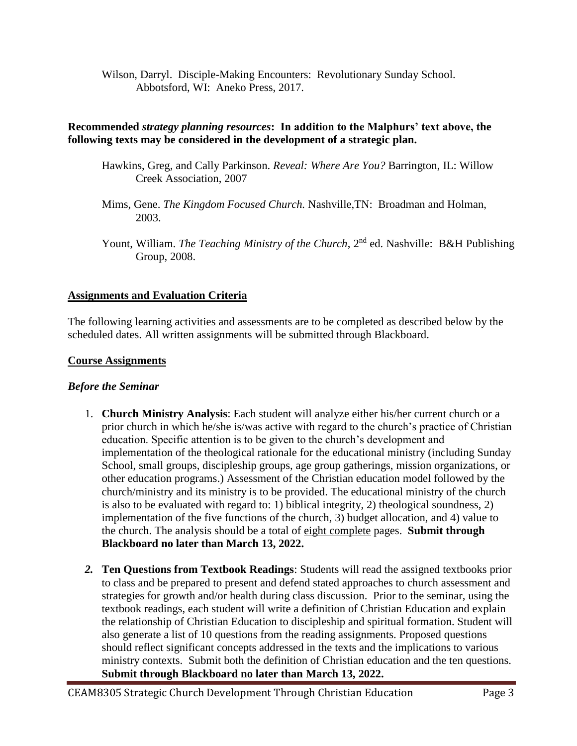Wilson, Darryl. Disciple-Making Encounters: Revolutionary Sunday School. Abbotsford, WI: Aneko Press, 2017.

#### **Recommended** *strategy planning resources***: In addition to the Malphurs' text above, the following texts may be considered in the development of a strategic plan.**

- Hawkins, Greg, and Cally Parkinson. *Reveal: Where Are You?* Barrington, IL: Willow Creek Association, 2007
- Mims, Gene. *The Kingdom Focused Church.* Nashville,TN: Broadman and Holman, 2003.
- Yount, William. *The Teaching Ministry of the Church*, 2<sup>nd</sup> ed. Nashville: B&H Publishing Group, 2008.

#### **Assignments and Evaluation Criteria**

The following learning activities and assessments are to be completed as described below by the scheduled dates. All written assignments will be submitted through Blackboard.

#### **Course Assignments**

#### *Before the Seminar*

- 1. **Church Ministry Analysis**: Each student will analyze either his/her current church or a prior church in which he/she is/was active with regard to the church's practice of Christian education. Specific attention is to be given to the church's development and implementation of the theological rationale for the educational ministry (including Sunday School, small groups, discipleship groups, age group gatherings, mission organizations, or other education programs.) Assessment of the Christian education model followed by the church/ministry and its ministry is to be provided. The educational ministry of the church is also to be evaluated with regard to: 1) biblical integrity, 2) theological soundness, 2) implementation of the five functions of the church, 3) budget allocation, and 4) value to the church. The analysis should be a total of eight complete pages. **Submit through Blackboard no later than March 13, 2022.**
- *2.* **Ten Questions from Textbook Readings**: Students will read the assigned textbooks prior to class and be prepared to present and defend stated approaches to church assessment and strategies for growth and/or health during class discussion. Prior to the seminar, using the textbook readings, each student will write a definition of Christian Education and explain the relationship of Christian Education to discipleship and spiritual formation. Student will also generate a list of 10 questions from the reading assignments. Proposed questions should reflect significant concepts addressed in the texts and the implications to various ministry contexts. Submit both the definition of Christian education and the ten questions. **Submit through Blackboard no later than March 13, 2022.**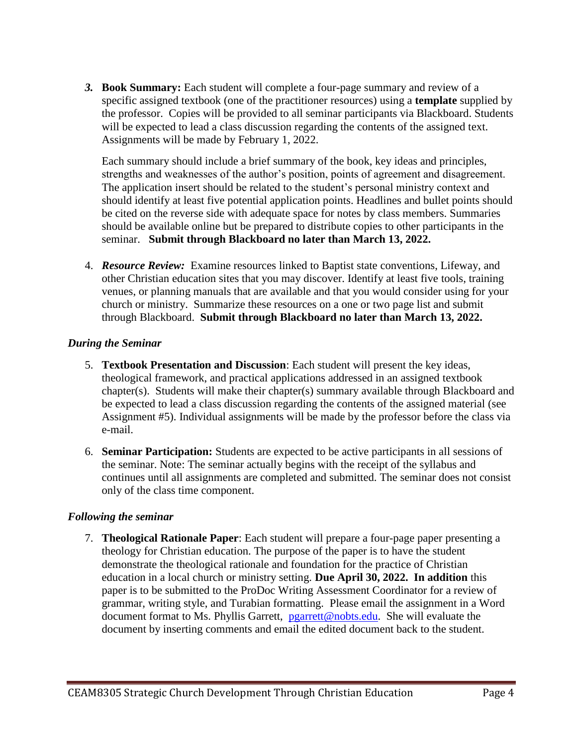*3.* **Book Summary:** Each student will complete a four-page summary and review of a specific assigned textbook (one of the practitioner resources) using a **template** supplied by the professor. Copies will be provided to all seminar participants via Blackboard. Students will be expected to lead a class discussion regarding the contents of the assigned text. Assignments will be made by February 1, 2022.

Each summary should include a brief summary of the book, key ideas and principles, strengths and weaknesses of the author's position, points of agreement and disagreement. The application insert should be related to the student's personal ministry context and should identify at least five potential application points. Headlines and bullet points should be cited on the reverse side with adequate space for notes by class members. Summaries should be available online but be prepared to distribute copies to other participants in the seminar. **Submit through Blackboard no later than March 13, 2022.**

4. *Resource Review:* Examine resources linked to Baptist state conventions, Lifeway, and other Christian education sites that you may discover. Identify at least five tools, training venues, or planning manuals that are available and that you would consider using for your church or ministry. Summarize these resources on a one or two page list and submit through Blackboard. **Submit through Blackboard no later than March 13, 2022.**

#### *During the Seminar*

- 5. **Textbook Presentation and Discussion**: Each student will present the key ideas, theological framework, and practical applications addressed in an assigned textbook chapter(s). Students will make their chapter(s) summary available through Blackboard and be expected to lead a class discussion regarding the contents of the assigned material (see Assignment #5). Individual assignments will be made by the professor before the class via e-mail.
- 6. **Seminar Participation:** Students are expected to be active participants in all sessions of the seminar. Note: The seminar actually begins with the receipt of the syllabus and continues until all assignments are completed and submitted. The seminar does not consist only of the class time component.

#### *Following the seminar*

7. **Theological Rationale Paper**: Each student will prepare a four-page paper presenting a theology for Christian education. The purpose of the paper is to have the student demonstrate the theological rationale and foundation for the practice of Christian education in a local church or ministry setting. **Due April 30, 2022. In addition** this paper is to be submitted to the ProDoc Writing Assessment Coordinator for a review of grammar, writing style, and Turabian formatting. Please email the assignment in a Word document format to Ms. Phyllis Garrett, pearrett@nobts.edu. She will evaluate the document by inserting comments and email the edited document back to the student.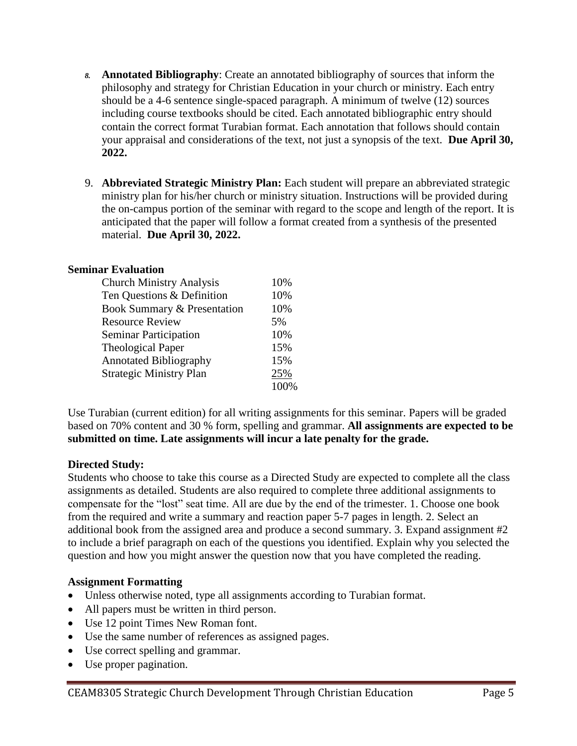- *8.* **Annotated Bibliography**: Create an annotated bibliography of sources that inform the philosophy and strategy for Christian Education in your church or ministry. Each entry should be a 4-6 sentence single-spaced paragraph. A minimum of twelve (12) sources including course textbooks should be cited. Each annotated bibliographic entry should contain the correct format Turabian format. Each annotation that follows should contain your appraisal and considerations of the text, not just a synopsis of the text. **Due April 30, 2022.**
- 9. **Abbreviated Strategic Ministry Plan:** Each student will prepare an abbreviated strategic ministry plan for his/her church or ministry situation. Instructions will be provided during the on-campus portion of the seminar with regard to the scope and length of the report. It is anticipated that the paper will follow a format created from a synthesis of the presented material. **Due April 30, 2022.**

### **Seminar Evaluation**

| <b>Church Ministry Analysis</b> | 10%  |
|---------------------------------|------|
| Ten Questions & Definition      | 10%  |
| Book Summary & Presentation     | 10%  |
| <b>Resource Review</b>          | 5%   |
| <b>Seminar Participation</b>    | 10%  |
| <b>Theological Paper</b>        | 15%  |
| <b>Annotated Bibliography</b>   | 15%  |
| <b>Strategic Ministry Plan</b>  | 25%  |
|                                 | 100% |

Use Turabian (current edition) for all writing assignments for this seminar. Papers will be graded based on 70% content and 30 % form, spelling and grammar. **All assignments are expected to be submitted on time. Late assignments will incur a late penalty for the grade.**

#### **Directed Study:**

Students who choose to take this course as a Directed Study are expected to complete all the class assignments as detailed. Students are also required to complete three additional assignments to compensate for the "lost" seat time. All are due by the end of the trimester. 1. Choose one book from the required and write a summary and reaction paper 5-7 pages in length. 2. Select an additional book from the assigned area and produce a second summary. 3. Expand assignment #2 to include a brief paragraph on each of the questions you identified. Explain why you selected the question and how you might answer the question now that you have completed the reading.

#### **Assignment Formatting**

- Unless otherwise noted, type all assignments according to Turabian format.
- All papers must be written in third person.
- Use 12 point Times New Roman font.
- Use the same number of references as assigned pages.
- Use correct spelling and grammar.
- Use proper pagination.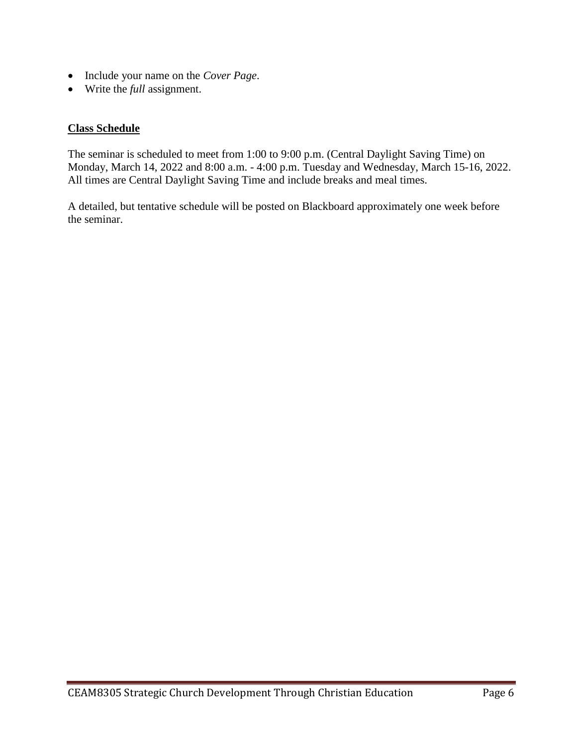- Include your name on the *Cover Page*.
- Write the *full* assignment.

#### **Class Schedule**

The seminar is scheduled to meet from 1:00 to 9:00 p.m. (Central Daylight Saving Time) on Monday, March 14, 2022 and 8:00 a.m. - 4:00 p.m. Tuesday and Wednesday, March 15-16, 2022. All times are Central Daylight Saving Time and include breaks and meal times.

A detailed, but tentative schedule will be posted on Blackboard approximately one week before the seminar.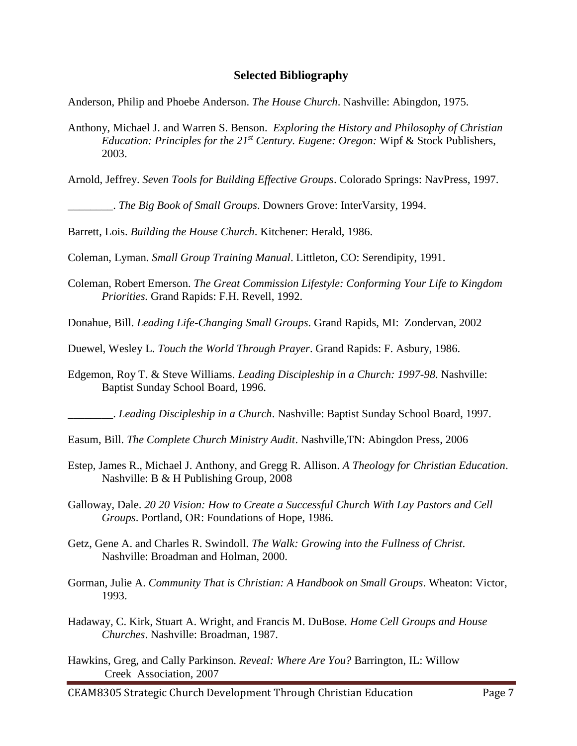#### **Selected Bibliography**

Anderson, Philip and Phoebe Anderson. *The House Church*. Nashville: Abingdon, 1975.

- Anthony, Michael J. and Warren S. Benson. *Exploring the History and Philosophy of Christian Education: Principles for the 21st Century. Eugene: Oregon:* Wipf & Stock Publishers, 2003.
- Arnold, Jeffrey. *Seven Tools for Building Effective Groups*. Colorado Springs: NavPress, 1997.

\_\_\_\_\_\_\_\_. *The Big Book of Small Groups*. Downers Grove: InterVarsity, 1994.

Barrett, Lois. *Building the House Church*. Kitchener: Herald, 1986.

Coleman, Lyman. *Small Group Training Manual*. Littleton, CO: Serendipity, 1991.

- Coleman, Robert Emerson. *The Great Commission Lifestyle: Conforming Your Life to Kingdom Priorities.* Grand Rapids: F.H. Revell, 1992.
- Donahue, Bill. *Leading Life-Changing Small Groups*. Grand Rapids, MI: Zondervan, 2002
- Duewel, Wesley L. *Touch the World Through Prayer*. Grand Rapids: F. Asbury, 1986.
- Edgemon, Roy T. & Steve Williams. *Leading Discipleship in a Church: 1997-98*. Nashville: Baptist Sunday School Board, 1996.

\_\_\_\_\_\_\_\_. *Leading Discipleship in a Church*. Nashville: Baptist Sunday School Board, 1997.

- Easum, Bill. *The Complete Church Ministry Audit*. Nashville,TN: Abingdon Press, 2006
- Estep, James R., Michael J. Anthony, and Gregg R. Allison. *A Theology for Christian Education*. Nashville: B & H Publishing Group, 2008
- Galloway, Dale. *20 20 Vision: How to Create a Successful Church With Lay Pastors and Cell Groups*. Portland, OR: Foundations of Hope, 1986.
- Getz, Gene A. and Charles R. Swindoll. *The Walk: Growing into the Fullness of Christ*. Nashville: Broadman and Holman, 2000.
- Gorman, Julie A. *Community That is Christian: A Handbook on Small Groups*. Wheaton: Victor, 1993.
- Hadaway, C. Kirk, Stuart A. Wright, and Francis M. DuBose. *Home Cell Groups and House Churches*. Nashville: Broadman, 1987.
- Hawkins, Greg, and Cally Parkinson. *Reveal: Where Are You?* Barrington, IL: Willow Creek Association, 2007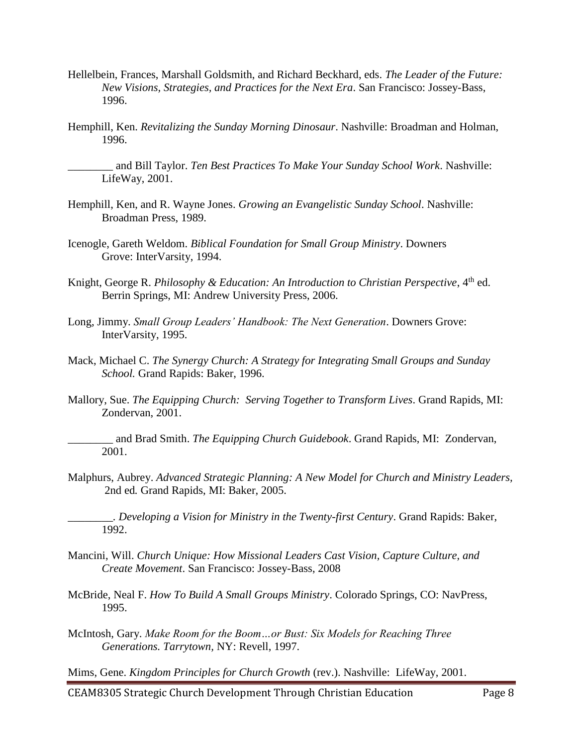- Hellelbein, Frances, Marshall Goldsmith, and Richard Beckhard, eds. *The Leader of the Future: New Visions, Strategies, and Practices for the Next Era*. San Francisco: Jossey-Bass, 1996.
- Hemphill, Ken. *Revitalizing the Sunday Morning Dinosaur*. Nashville: Broadman and Holman, 1996.

\_\_\_\_\_\_\_\_ and Bill Taylor. *Ten Best Practices To Make Your Sunday School Work*. Nashville: LifeWay, 2001.

- Hemphill, Ken, and R. Wayne Jones. *Growing an Evangelistic Sunday School*. Nashville: Broadman Press, 1989.
- Icenogle, Gareth Weldom. *Biblical Foundation for Small Group Ministry*. Downers Grove: InterVarsity, 1994.
- Knight, George R. Philosophy & Education: An Introduction to Christian Perspective, 4<sup>th</sup> ed. Berrin Springs, MI: Andrew University Press, 2006.
- Long, Jimmy. *Small Group Leaders' Handbook: The Next Generation*. Downers Grove: InterVarsity, 1995.
- Mack, Michael C. *The Synergy Church: A Strategy for Integrating Small Groups and Sunday School.* Grand Rapids: Baker, 1996.
- Mallory, Sue. *The Equipping Church: Serving Together to Transform Lives*. Grand Rapids, MI: Zondervan, 2001.

\_\_\_\_\_\_\_\_ and Brad Smith. *The Equipping Church Guidebook*. Grand Rapids, MI: Zondervan, 2001.

Malphurs, Aubrey. *Advanced Strategic Planning: A New Model for Church and Ministry Leaders,* 2nd ed*.* Grand Rapids, MI: Baker, 2005.

\_\_\_\_\_\_\_\_*. Developing a Vision for Ministry in the Twenty-first Century*. Grand Rapids: Baker, 1992.

- Mancini, Will. *Church Unique: How Missional Leaders Cast Vision, Capture Culture, and Create Movement*. San Francisco: Jossey-Bass, 2008
- McBride, Neal F. *How To Build A Small Groups Ministry*. Colorado Springs, CO: NavPress, 1995.
- McIntosh, Gary. *Make Room for the Boom…or Bust: Six Models for Reaching Three Generations. Tarrytown,* NY: Revell, 1997.

Mims, Gene. *Kingdom Principles for Church Growth* (rev.). Nashville: LifeWay, 2001.

CEAM8305 Strategic Church Development Through Christian Education Page 8